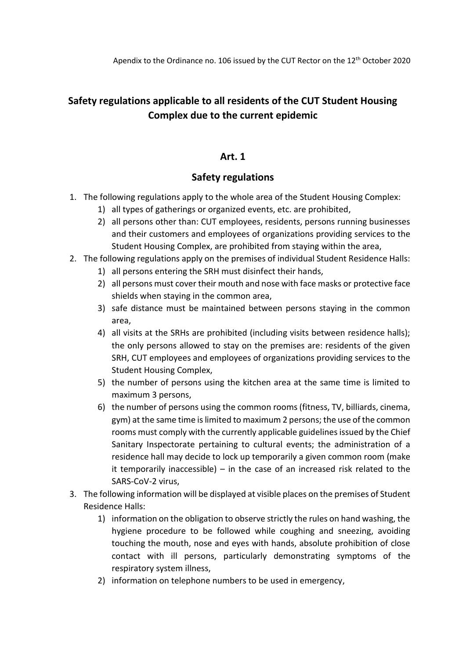# **Safety regulations applicable to all residents of the CUT Student Housing Complex due to the current epidemic**

#### **Art. 1**

### **Safety regulations**

- 1. The following regulations apply to the whole area of the Student Housing Complex:
	- 1) all types of gatherings or organized events, etc. are prohibited,
	- 2) all persons other than: CUT employees, residents, persons running businesses and their customers and employees of organizations providing services to the Student Housing Complex, are prohibited from staying within the area,
- 2. The following regulations apply on the premises of individual Student Residence Halls:
	- 1) all persons entering the SRH must disinfect their hands,
	- 2) all persons must cover their mouth and nose with face masks or protective face shields when staying in the common area,
	- 3) safe distance must be maintained between persons staying in the common area,
	- 4) all visits at the SRHs are prohibited (including visits between residence halls); the only persons allowed to stay on the premises are: residents of the given SRH, CUT employees and employees of organizations providing services to the Student Housing Complex,
	- 5) the number of persons using the kitchen area at the same time is limited to maximum 3 persons,
	- 6) the number of persons using the common rooms (fitness, TV, billiards, cinema, gym) at the same time is limited to maximum 2 persons; the use of the common rooms must comply with the currently applicable guidelines issued by the Chief Sanitary Inspectorate pertaining to cultural events; the administration of a residence hall may decide to lock up temporarily a given common room (make it temporarily inaccessible) – in the case of an increased risk related to the SARS-CoV-2 virus,
- 3. The following information will be displayed at visible places on the premises of Student Residence Halls:
	- 1) information on the obligation to observe strictly the rules on hand washing, the hygiene procedure to be followed while coughing and sneezing, avoiding touching the mouth, nose and eyes with hands, absolute prohibition of close contact with ill persons, particularly demonstrating symptoms of the respiratory system illness,
	- 2) information on telephone numbers to be used in emergency,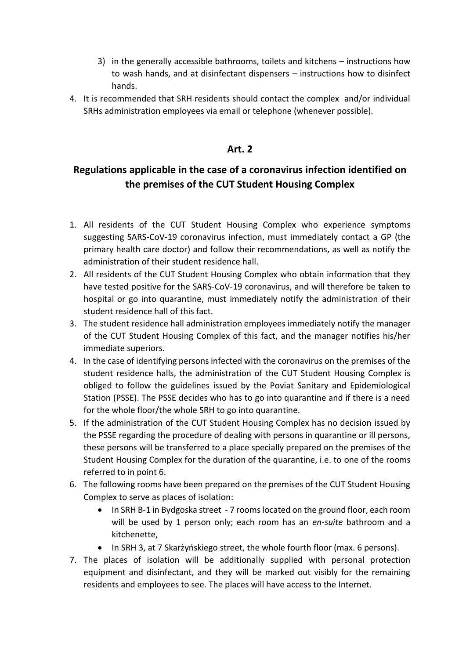- 3) in the generally accessible bathrooms, toilets and kitchens instructions how to wash hands, and at disinfectant dispensers – instructions how to disinfect hands.
- 4. It is recommended that SRH residents should contact the complex and/or individual SRHs administration employees via email or telephone (whenever possible).

#### **Art. 2**

## **Regulations applicable in the case of a coronavirus infection identified on the premises of the CUT Student Housing Complex**

- 1. All residents of the CUT Student Housing Complex who experience symptoms suggesting SARS-CoV-19 coronavirus infection, must immediately contact a GP (the primary health care doctor) and follow their recommendations, as well as notify the administration of their student residence hall.
- 2. All residents of the CUT Student Housing Complex who obtain information that they have tested positive for the SARS-CoV-19 coronavirus, and will therefore be taken to hospital or go into quarantine, must immediately notify the administration of their student residence hall of this fact.
- 3. The student residence hall administration employees immediately notify the manager of the CUT Student Housing Complex of this fact, and the manager notifies his/her immediate superiors.
- 4. In the case of identifying persons infected with the coronavirus on the premises of the student residence halls, the administration of the CUT Student Housing Complex is obliged to follow the guidelines issued by the Poviat Sanitary and Epidemiological Station (PSSE). The PSSE decides who has to go into quarantine and if there is a need for the whole floor/the whole SRH to go into quarantine.
- 5. If the administration of the CUT Student Housing Complex has no decision issued by the PSSE regarding the procedure of dealing with persons in quarantine or ill persons, these persons will be transferred to a place specially prepared on the premises of the Student Housing Complex for the duration of the quarantine, i.e. to one of the rooms referred to in point 6.
- 6. The following rooms have been prepared on the premises of the CUT Student Housing Complex to serve as places of isolation:
	- In SRH B-1 in Bydgoska street 7 rooms located on the ground floor, each room will be used by 1 person only; each room has an *en-suite* bathroom and a kitchenette,
	- In SRH 3, at 7 Skarżyńskiego street, the whole fourth floor (max. 6 persons).
- 7. The places of isolation will be additionally supplied with personal protection equipment and disinfectant, and they will be marked out visibly for the remaining residents and employees to see. The places will have access to the Internet.